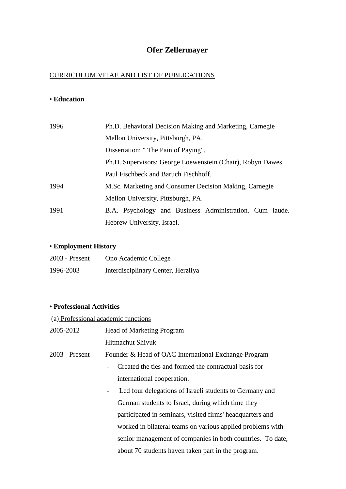# **Ofer Zellermayer**

### CURRICULUM VITAE AND LIST OF PUBLICATIONS

### • **Education**

| 1996 | Ph.D. Behavioral Decision Making and Marketing, Carnegie    |
|------|-------------------------------------------------------------|
|      | Mellon University, Pittsburgh, PA.                          |
|      | Dissertation: "The Pain of Paying".                         |
|      | Ph.D. Supervisors: George Loewenstein (Chair), Robyn Dawes, |
|      | Paul Fischbeck and Baruch Fischhoff.                        |
| 1994 | M.Sc. Marketing and Consumer Decision Making, Carnegie      |
|      | Mellon University, Pittsburgh, PA.                          |
| 1991 | B.A. Psychology and Business Administration. Cum laude.     |
|      | Hebrew University, Israel.                                  |

## • **Employment History**

| $2003$ - Present | Ono Academic College               |
|------------------|------------------------------------|
| 1996-2003        | Interdisciplinary Center, Herzliya |

#### • **Professional Activities**

| (a) Professional academic functions |                                                                                         |  |
|-------------------------------------|-----------------------------------------------------------------------------------------|--|
| 2005-2012                           | <b>Head of Marketing Program</b>                                                        |  |
|                                     | <b>Hitmachut Shivuk</b>                                                                 |  |
| 2003 - Present                      | Founder & Head of OAC International Exchange Program                                    |  |
|                                     | Created the ties and formed the contractual basis for                                   |  |
|                                     | international cooperation.                                                              |  |
|                                     | Led four delegations of Israeli students to Germany and<br>$\qquad \qquad \blacksquare$ |  |
|                                     | German students to Israel, during which time they                                       |  |
|                                     | participated in seminars, visited firms' headquarters and                               |  |
|                                     | worked in bilateral teams on various applied problems with                              |  |
|                                     | senior management of companies in both countries. To date,                              |  |
|                                     | about 70 students haven taken part in the program.                                      |  |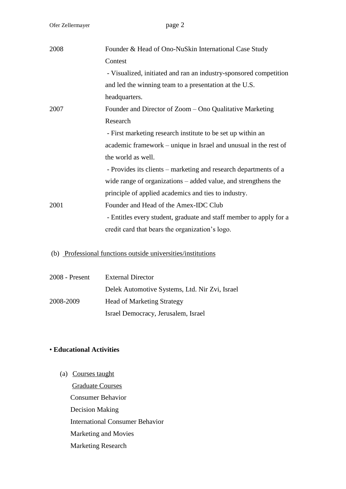| 2008 | Founder & Head of Ono-NuSkin International Case Study              |
|------|--------------------------------------------------------------------|
|      | Contest                                                            |
|      | - Visualized, initiated and ran an industry-sponsored competition  |
|      | and led the winning team to a presentation at the U.S.             |
|      | headquarters.                                                      |
| 2007 | Founder and Director of Zoom – Ono Qualitative Marketing           |
|      | Research                                                           |
|      | - First marketing research institute to be set up within an        |
|      | academic framework - unique in Israel and unusual in the rest of   |
|      | the world as well.                                                 |
|      | - Provides its clients – marketing and research departments of a   |
| 2001 | wide range of organizations $-$ added value, and strengthens the   |
|      | principle of applied academics and ties to industry.               |
|      | Founder and Head of the Amex-IDC Club                              |
|      | - Entitles every student, graduate and staff member to apply for a |
|      | credit card that bears the organization's logo.                    |
|      |                                                                    |
|      | (b) Professional functions outside universities/institutions       |

| $2008$ - Present | <b>External Director</b>                       |
|------------------|------------------------------------------------|
|                  | Delek Automotive Systems, Ltd. Nir Zvi, Israel |
| 2008-2009        | <b>Head of Marketing Strategy</b>              |
|                  | Israel Democracy, Jerusalem, Israel            |

### • **Educational Activities**

(a) Courses taught Graduate Courses Consumer Behavior Decision Making International Consumer Behavior Marketing and Movies Marketing Research